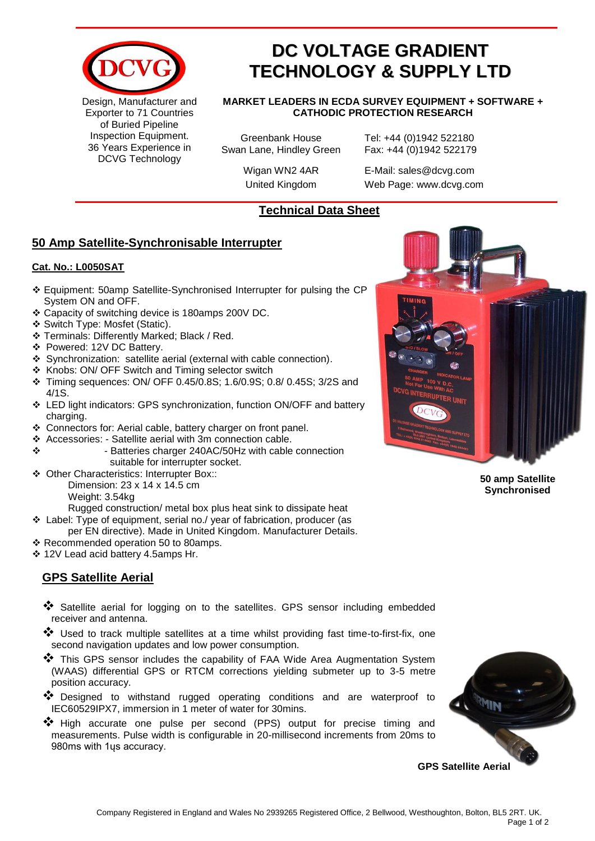

Design, Manufacturer and Exporter to 71 Countries of Buried Pipeline Inspection Equipment. 36 Years Experience in DCVG Technology

# **DC VOLTAGE GRADIENT TECHNOLOGY & SUPPLY LTD**

**MARKET LEADERS IN ECDA SURVEY EQUIPMENT + SOFTWARE + CATHODIC PROTECTION RESEARCH**

Greenbank House Tel: +44 (0)1942 522180 Swan Lane, Hindley Green Fax: +44 (0)1942 522179

Wigan WN2 4AR E-Mail: sales@dcvg.com United Kingdom Web Page: www.dcvg.com

### **Technical Data Sheet**

## **50 Amp Satellite-Synchronisable Interrupter**

#### **Cat. No.: L0050SAT**

- ❖ Equipment: 50amp Satellite-Synchronised Interrupter for pulsing the CP System ON and OFF.
- ❖ Capacity of switching device is 180amps 200V DC.
- ❖ Switch Type: Mosfet (Static).
- ❖ Terminals: Differently Marked; Black / Red.
- ❖ Powered: 12V DC Battery.
- ❖ Synchronization: satellite aerial (external with cable connection).
- ❖ Knobs: ON/ OFF Switch and Timing selector switch
- ❖ Timing sequences: ON/ OFF 0.45/0.8S; 1.6/0.9S; 0.8/ 0.45S; 3/2S and 4/1S.
- ❖ LED light indicators: GPS synchronization, function ON/OFF and battery charging.
- ❖ Connectors for: Aerial cable, battery charger on front panel.
- ❖ Accessories: Satellite aerial with 3m connection cable.
- ❖ Batteries charger 240AC/50Hz with cable connection suitable for interrupter socket.
- ❖ Other Characteristics: Interrupter Box:: Dimension: 23 x 14 x 14.5 cm

Weight: 3.54kg

Rugged construction/ metal box plus heat sink to dissipate heat

- ❖ Label: Type of equipment, serial no./ year of fabrication, producer (as
- per EN directive). Made in United Kingdom. Manufacturer Details.
- ❖ Recommended operation 50 to 80amps.
- ❖ 12V Lead acid battery 4.5amps Hr.

# **GPS Satellite Aerial**

- ❖ Satellite aerial for logging on to the satellites. GPS sensor including embedded receiver and antenna.
- ❖ Used to track multiple satellites at a time whilst providing fast time-to-first-fix, one second navigation updates and low power consumption.
- ❖ This GPS sensor includes the capability of FAA Wide Area Augmentation System (WAAS) differential GPS or RTCM corrections yielding submeter up to 3-5 metre position accuracy.
- ❖ Designed to withstand rugged operating conditions and are waterproof to IEC60529IPX7, immersion in 1 meter of water for 30mins.
- ❖ High accurate one pulse per second (PPS) output for precise timing and measurements. Pulse width is configurable in 20-millisecond increments from 20ms to 980ms with 1ųs accuracy.



**50 amp Satellite Synchronised** 

**GPS Satellite Aerial**